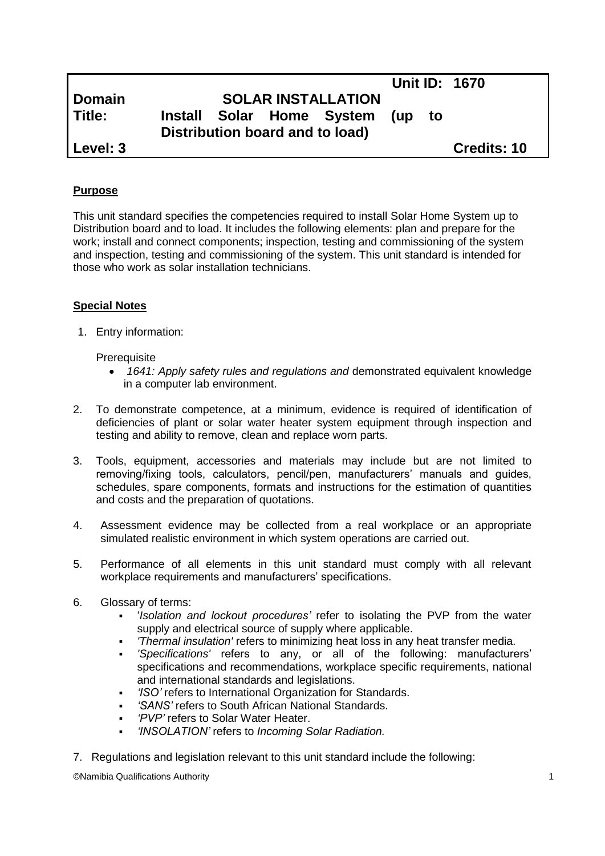|               |                                 |  |  |                               |  |    | <b>Unit ID: 1670</b> |
|---------------|---------------------------------|--|--|-------------------------------|--|----|----------------------|
| <b>Domain</b> | <b>SOLAR INSTALLATION</b>       |  |  |                               |  |    |                      |
| l Title:      |                                 |  |  | Install Solar Home System (up |  | to |                      |
|               | Distribution board and to load) |  |  |                               |  |    |                      |
| Level: 3      |                                 |  |  |                               |  |    | <b>Credits: 10</b>   |

## **Purpose**

This unit standard specifies the competencies required to install Solar Home System up to Distribution board and to load. It includes the following elements: plan and prepare for the work; install and connect components; inspection, testing and commissioning of the system and inspection, testing and commissioning of the system. This unit standard is intended for those who work as solar installation technicians.

# **Special Notes**

1. Entry information:

**Prerequisite** 

- *1641: Apply safety rules and regulations and* demonstrated equivalent knowledge in a computer lab environment.
- 2. To demonstrate competence, at a minimum, evidence is required of identification of deficiencies of plant or solar water heater system equipment through inspection and testing and ability to remove, clean and replace worn parts.
- 3. Tools, equipment, accessories and materials may include but are not limited to removing/fixing tools, calculators, pencil/pen, manufacturers' manuals and guides, schedules, spare components, formats and instructions for the estimation of quantities and costs and the preparation of quotations.
- 4. Assessment evidence may be collected from a real workplace or an appropriate simulated realistic environment in which system operations are carried out.
- 5. Performance of all elements in this unit standard must comply with all relevant workplace requirements and manufacturers' specifications.
- 6. Glossary of terms:
	- '*Isolation and lockout procedures'* refer to isolating the PVP from the water supply and electrical source of supply where applicable.
	- *'Thermal insulation'* refers to minimizing heat loss in any heat transfer media.
	- *'Specifications'* refers to any, or all of the following: manufacturers' specifications and recommendations, workplace specific requirements, national and international standards and legislations.
	- *'ISO'* refers to International Organization for Standards.
	- *'SANS'* refers to South African National Standards.
	- *'PVP'* refers to Solar Water Heater.
	- *'INSOLATION'* refers to *Incoming Solar Radiation.*
- 7. Regulations and legislation relevant to this unit standard include the following:

©Namibia Qualifications Authority 1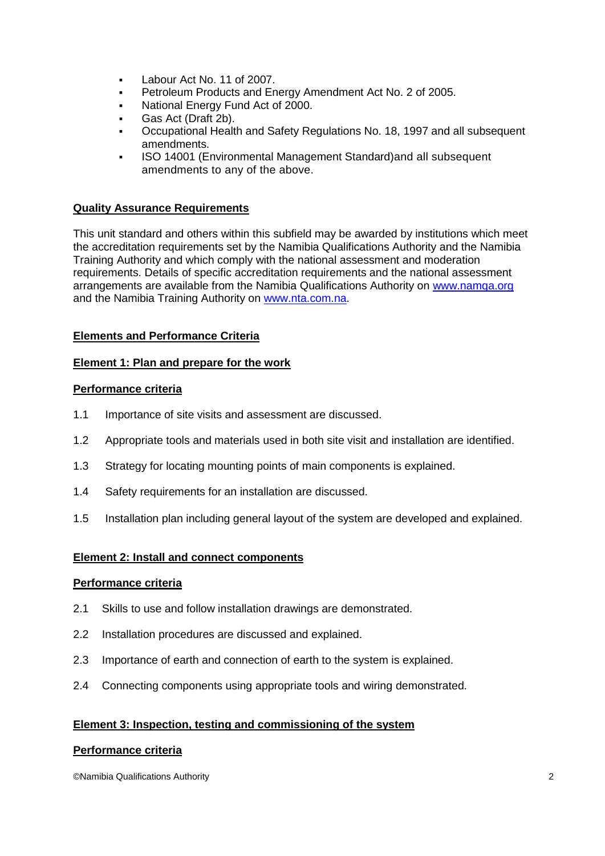- Labour Act No. 11 of 2007.
- Petroleum Products and Energy Amendment Act No. 2 of 2005.
- National Energy Fund Act of 2000.
- Gas Act (Draft 2b).
- Occupational Health and Safety Regulations No. 18, 1997 and all subsequent amendments.
- ISO 14001 (Environmental Management Standard)and all subsequent amendments to any of the above.

# **Quality Assurance Requirements**

This unit standard and others within this subfield may be awarded by institutions which meet the accreditation requirements set by the Namibia Qualifications Authority and the Namibia Training Authority and which comply with the national assessment and moderation requirements. Details of specific accreditation requirements and the national assessment arrangements are available from the Namibia Qualifications Authority on [www.namqa.org](http://www.namqa.org/) and the Namibia Training Authority on [www.nta.com.na.](http://www.nta.com.na/)

# **Elements and Performance Criteria**

### **Element 1: Plan and prepare for the work**

## **Performance criteria**

- 1.1 Importance of site visits and assessment are discussed.
- 1.2 Appropriate tools and materials used in both site visit and installation are identified.
- 1.3 Strategy for locating mounting points of main components is explained.
- 1.4 Safety requirements for an installation are discussed.
- 1.5 Installation plan including general layout of the system are developed and explained.

### **Element 2: Install and connect components**

### **Performance criteria**

- 2.1 Skills to use and follow installation drawings are demonstrated.
- 2.2 Installation procedures are discussed and explained.
- 2.3 Importance of earth and connection of earth to the system is explained.
- 2.4 Connecting components using appropriate tools and wiring demonstrated.

### **Element 3: Inspection, testing and commissioning of the system**

#### **Performance criteria**

©Namibia Qualifications Authority 2